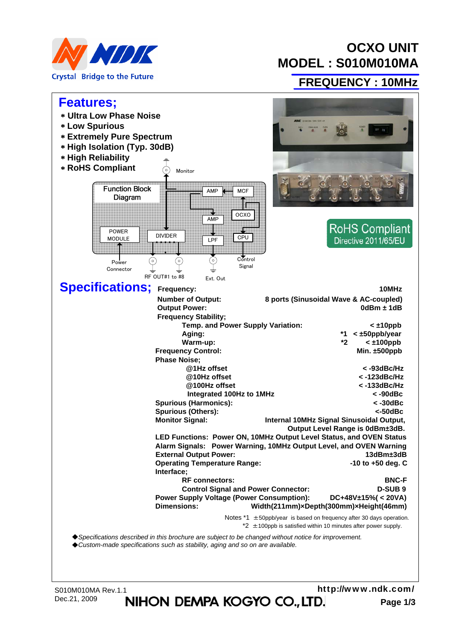

# **OCXO UNIT MODEL : S010M010MA**

#### **FREQUENCY : 10MHz**



Dec.21, 2009 **NIHON DEMPA KOGYO CO., LTD.** Page 1/3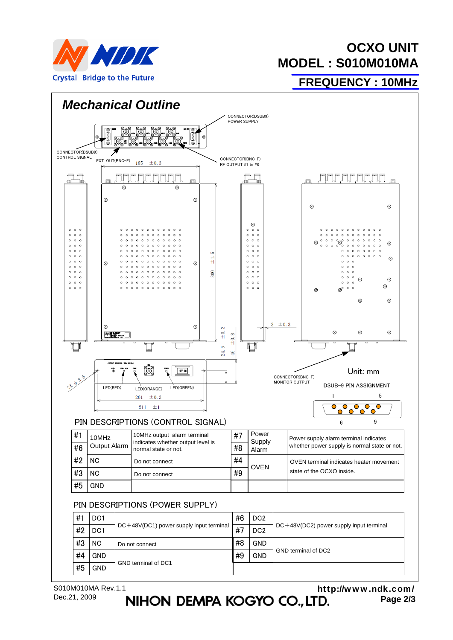

## **OCXO UNIT MODEL : S010M010MA**

**FREQUENCY : 10MHz**



**Page 2/3** http://www.ndk.com/<br>**NIHON DEMPA KOGYO CO., LTD.** Page 2/3